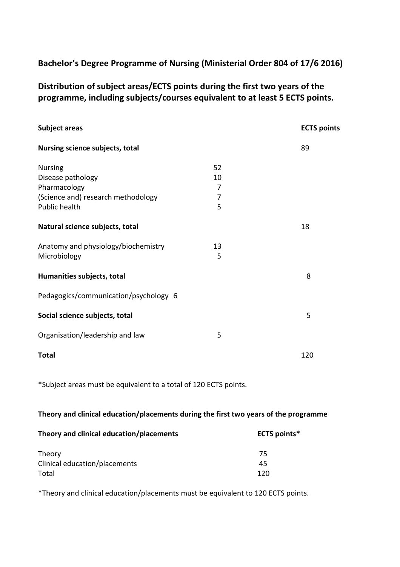# **Bachelor's Degree Programme of Nursing (Ministerial Order 804 of 17/6 2016)**

**Distribution of subject areas/ECTS points during the first two years of the programme, including subjects/courses equivalent to at least 5 ECTS points.**

| Subject areas                                                                                              |                         | <b>ECTS points</b> |
|------------------------------------------------------------------------------------------------------------|-------------------------|--------------------|
| Nursing science subjects, total                                                                            |                         | 89                 |
| <b>Nursing</b><br>Disease pathology<br>Pharmacology<br>(Science and) research methodology<br>Public health | 52<br>10<br>7<br>7<br>5 |                    |
| Natural science subjects, total                                                                            |                         | 18                 |
| Anatomy and physiology/biochemistry<br>Microbiology                                                        | 13<br>5                 |                    |
| Humanities subjects, total                                                                                 |                         | 8                  |
| Pedagogics/communication/psychology 6                                                                      |                         |                    |
| Social science subjects, total                                                                             |                         | 5                  |
| Organisation/leadership and law                                                                            | 5                       |                    |
| <b>Total</b>                                                                                               |                         | 120                |

\*Subject areas must be equivalent to a total of 120 ECTS points.

### **Theory and clinical education/placements during the first two years of the programme**

| Theory and clinical education/placements | <b>ECTS</b> points* |
|------------------------------------------|---------------------|
| Theory                                   | 75                  |
| Clinical education/placements            | 45                  |
| Total                                    | 120                 |

\*Theory and clinical education/placements must be equivalent to 120 ECTS points.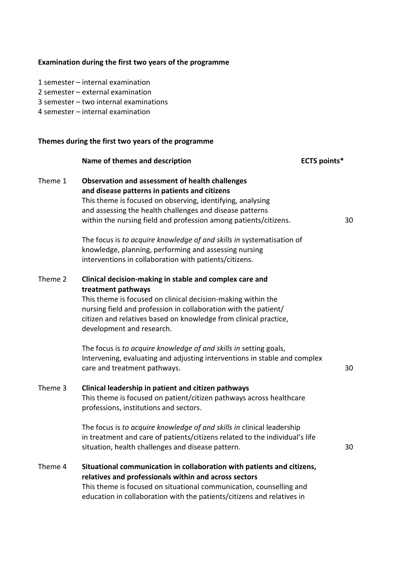|         | Examination during the first two years of the programme                                                                                                                                                                                                                                                                                                                                                                                                                                           |                     |    |
|---------|---------------------------------------------------------------------------------------------------------------------------------------------------------------------------------------------------------------------------------------------------------------------------------------------------------------------------------------------------------------------------------------------------------------------------------------------------------------------------------------------------|---------------------|----|
|         | 1 semester - internal examination<br>2 semester - external examination<br>3 semester - two internal examinations<br>4 semester - internal examination                                                                                                                                                                                                                                                                                                                                             |                     |    |
|         | Themes during the first two years of the programme                                                                                                                                                                                                                                                                                                                                                                                                                                                |                     |    |
|         | Name of themes and description                                                                                                                                                                                                                                                                                                                                                                                                                                                                    | <b>ECTS points*</b> |    |
| Theme 1 | <b>Observation and assessment of health challenges</b><br>and disease patterns in patients and citizens<br>This theme is focused on observing, identifying, analysing<br>and assessing the health challenges and disease patterns<br>within the nursing field and profession among patients/citizens.<br>The focus is to acquire knowledge of and skills in systematisation of<br>knowledge, planning, performing and assessing nursing<br>interventions in collaboration with patients/citizens. |                     | 30 |
| Theme 2 | Clinical decision-making in stable and complex care and<br>treatment pathways<br>This theme is focused on clinical decision-making within the<br>nursing field and profession in collaboration with the patient/<br>citizen and relatives based on knowledge from clinical practice,<br>development and research.                                                                                                                                                                                 |                     |    |
|         | The focus is to acquire knowledge of and skills in setting goals,<br>Intervening, evaluating and adjusting interventions in stable and complex<br>care and treatment pathways.                                                                                                                                                                                                                                                                                                                    |                     | 30 |
| Theme 3 | Clinical leadership in patient and citizen pathways<br>This theme is focused on patient/citizen pathways across healthcare<br>professions, institutions and sectors.                                                                                                                                                                                                                                                                                                                              |                     |    |
|         | The focus is to acquire knowledge of and skills in clinical leadership<br>in treatment and care of patients/citizens related to the individual's life<br>situation, health challenges and disease pattern.                                                                                                                                                                                                                                                                                        |                     | 30 |
| Theme 4 | Situational communication in collaboration with patients and citizens,<br>relatives and professionals within and across sectors<br>This theme is focused on situational communication, counselling and<br>education in collaboration with the patients/citizens and relatives in                                                                                                                                                                                                                  |                     |    |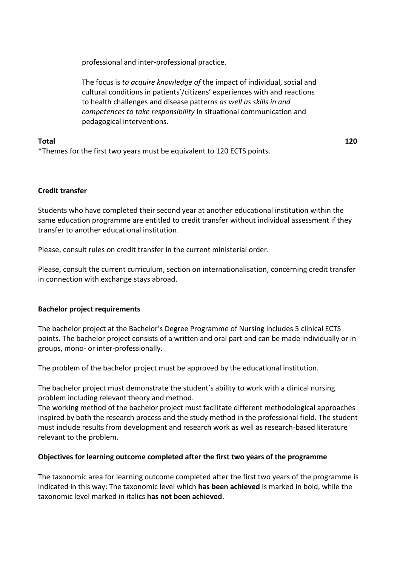professional and inter-professional practice.

The focus is *to acquire knowledge of* the impact of individual, social and cultural conditions in patients'/citizens' experiences with and reactions to health challenges and disease patterns *as well as skills in and competences to take responsibility* in situational communication and pedagogical interventions.

## **Total 120**

\*Themes for the first two years must be equivalent to 120 ECTS points.

### **Credit transfer**

Students who have completed their second year at another educational institution within the same education programme are entitled to credit transfer without individual assessment if they transfer to another educational institution.

Please, consult rules on credit transfer in the current ministerial order.

Please, consult the current curriculum, section on internationalisation, concerning credit transfer in connection with exchange stays abroad.

### **Bachelor project requirements**

The bachelor project at the Bachelor's Degree Programme of Nursing includes 5 clinical ECTS points. The bachelor project consists of a written and oral part and can be made individually or in groups, mono- or inter-professionally.

The problem of the bachelor project must be approved by the educational institution.

The bachelor project must demonstrate the student's ability to work with a clinical nursing problem including relevant theory and method.

The working method of the bachelor project must facilitate different methodological approaches inspired by both the research process and the study method in the professional field. The student must include results from development and research work as well as research-based literature relevant to the problem.

### **Objectives for learning outcome completed after the first two years of the programme**

The taxonomic area for learning outcome completed after the first two years of the programme is indicated in this way: The taxonomic level which **has been achieved** is marked in bold, while the taxonomic level marked in italics **has not been achieved**.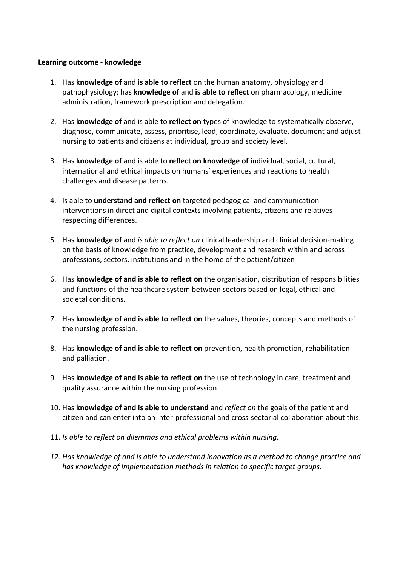### **Learning outcome - knowledge**

- 1. Has **knowledge of** and **is able to reflect** on the human anatomy, physiology and pathophysiology; has **knowledge of** and **is able to reflect** on pharmacology, medicine administration, framework prescription and delegation.
- 2. Has **knowledge of** and is able to **reflect on** types of knowledge to systematically observe, diagnose, communicate, assess, prioritise, lead, coordinate, evaluate, document and adjust nursing to patients and citizens at individual, group and society level.
- 3. Has **knowledge of** and is able to **reflect on knowledge of** individual, social, cultural, international and ethical impacts on humans' experiences and reactions to health challenges and disease patterns.
- 4. Is able to **understand and reflect on** targeted pedagogical and communication interventions in direct and digital contexts involving patients, citizens and relatives respecting differences.
- 5. Has **knowledge of** and *is able to reflect on* clinical leadership and clinical decision-making on the basis of knowledge from practice, development and research within and across professions, sectors, institutions and in the home of the patient/citizen
- 6. Has **knowledge of and is able to reflect on** the organisation, distribution of responsibilities and functions of the healthcare system between sectors based on legal, ethical and societal conditions.
- 7. Has **knowledge of and is able to reflect on** the values, theories, concepts and methods of the nursing profession.
- 8. Has **knowledge of and is able to reflect on** prevention, health promotion, rehabilitation and palliation.
- 9. Has **knowledge of and is able to reflect on** the use of technology in care, treatment and quality assurance within the nursing profession.
- 10. Has **knowledge of and is able to understand** and *reflect on* the goals of the patient and citizen and can enter into an inter-professional and cross-sectorial collaboration about this.
- 11. *Is able to reflect on dilemmas and ethical problems within nursing.*
- *12. Has knowledge of and is able to understand innovation as a method to change practice and has knowledge of implementation methods in relation to specific target groups.*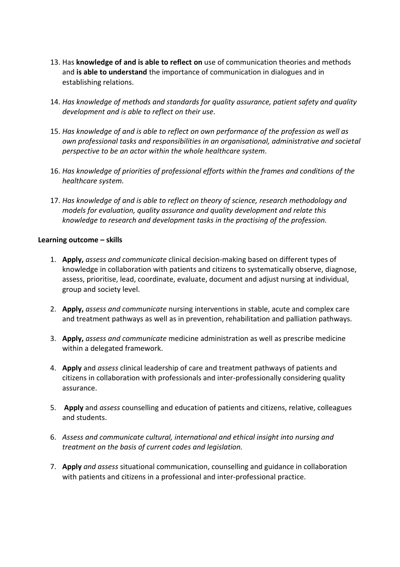- 13. Has **knowledge of and is able to reflect on** use of communication theories and methods and **is able to understand** the importance of communication in dialogues and in establishing relations.
- 14. *Has knowledge of methods and standards for quality assurance, patient safety and quality development and is able to reflect on their use.*
- 15. *Has knowledge of and is able to reflect on own performance of the profession as well as own professional tasks and responsibilities in an organisational, administrative and societal perspective to be an actor within the whole healthcare system.*
- 16. *Has knowledge of priorities of professional efforts within the frames and conditions of the healthcare system.*
- 17. *Has knowledge of and is able to reflect on theory of science, research methodology and models for evaluation, quality assurance and quality development and relate this knowledge to research and development tasks in the practising of the profession.*

#### **Learning outcome – skills**

- 1. **Apply,** *assess and communicate* clinical decision-making based on different types of knowledge in collaboration with patients and citizens to systematically observe, diagnose, assess, prioritise, lead, coordinate, evaluate, document and adjust nursing at individual, group and society level.
- 2. **Apply,** *assess and communicate* nursing interventions in stable, acute and complex care and treatment pathways as well as in prevention, rehabilitation and palliation pathways.
- 3. **Apply,** *assess and communicate* medicine administration as well as prescribe medicine within a delegated framework.
- 4. **Apply** and *assess* clinical leadership of care and treatment pathways of patients and citizens in collaboration with professionals and inter-professionally considering quality assurance.
- 5. **Apply** and *assess* counselling and education of patients and citizens, relative, colleagues and students.
- 6. *Assess and communicate cultural, international and ethical insight into nursing and treatment on the basis of current codes and legislation.*
- 7. **Apply** *and assess* situational communication, counselling and guidance in collaboration with patients and citizens in a professional and inter-professional practice.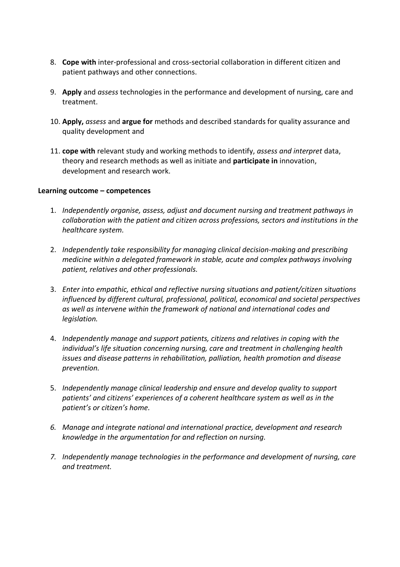- 8. **Cope with** inter-professional and cross-sectorial collaboration in different citizen and patient pathways and other connections.
- 9. **Apply** and *assess* technologies in the performance and development of nursing, care and treatment.
- 10. **Apply,** *assess* and **argue for** methods and described standards for quality assurance and quality development and
- 11. **cope with** relevant study and working methods to identify, *assess and interpret* data, theory and research methods as well as initiate and **participate in** innovation, development and research work.

### **Learning outcome – competences**

- 1. *Independently organise, assess, adjust and document nursing and treatment pathways in collaboration with the patient and citizen across professions, sectors and institutions in the healthcare system.*
- 2. *Independently take responsibility for managing clinical decision-making and prescribing medicine within a delegated framework in stable, acute and complex pathways involving patient, relatives and other professionals.*
- 3. *Enter into empathic, ethical and reflective nursing situations and patient/citizen situations influenced by different cultural, professional, political, economical and societal perspectives as well as intervene within the framework of national and international codes and legislation.*
- 4. *Independently manage and support patients, citizens and relatives in coping with the individual's life situation concerning nursing, care and treatment in challenging health issues and disease patterns in rehabilitation, palliation, health promotion and disease prevention.*
- 5. *Independently manage clinical leadership and ensure and develop quality to support patients' and citizens' experiences of a coherent healthcare system as well as in the patient's or citizen's home.*
- *6. Manage and integrate national and international practice, development and research knowledge in the argumentation for and reflection on nursing.*
- *7. Independently manage technologies in the performance and development of nursing, care and treatment.*